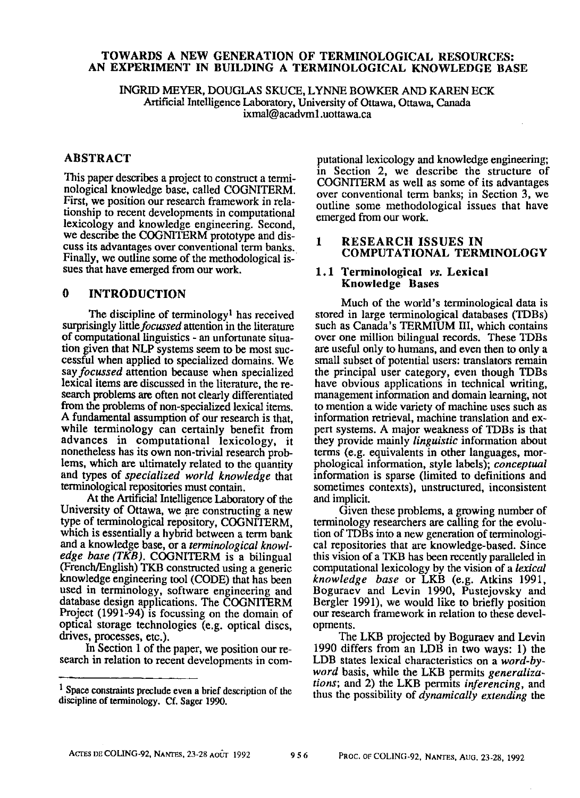# TOWARDS A NEW GENERATION OF TERMINOLOGICAL RESOURCES: AN EXPERIMENT IN BUILDING A TERMINOLOGICAL KNOWLEDGE BASE

INGRID MEYER, DOUGLAS SKUCE, LYNNE BOWKER AND KAREN ECK Artificial Intelligence Laboratory, University of Ottawa, Ottawa, Canada ixmal@acadvml.uottawa.ca

### ABSTRACT

This paper describes a project to construct a terminological knowledge base, called COGNITERM. First, we position our research framework in relationship to recent developments in computational lexicology and knowledge engineering. Second, we describe the COGNITERM prototype and discuss its advantages over conventional term banks. Finally, we outline some of the methodological issues that have emerged from our work.

#### 0 INTRODUCTION

The discipline of terminology<sup>1</sup> has received surprisingly *little focussed* attention in the literature of computational linguistics - an unfortunate situation given that NLP systems seem to be most successful when applied to specialized domains. We *say focussed* attention because when specialized lexical items are discussed in the literature, the research problems are often not clearly differentiated from the problems of non-specialized lexical items. A fundamental assumption of our research is that, while terminology can certainly benefit from advances in computational lexicology, it nonetheless has its own non-trivial research problems, which are ultimately related to the quantity and types of *specialized world knowledge* that terminological repositories must contain.

At the Artificial Intelligence Laboratory of the University of Ottawa, we are constructing a new type of terminological repository, COGNITERM, which is essentially a hybrid between a term bank and a knowledge base, or a *terminological knowledge base (TKB).* COGNITERM is a bilingual (French/English) TKB constructed using a generic knowledge engineering tool (CODE) that has been used in terminology, software engineering and database design applications. The COGNITERM Project (1991-94) is focussing on the domain of optical storage technologies (e.g. optical discs, drives, processes, etc.).

In Section 1 of the paper, we position our research in relation to recent developments in com-

putational lexicology and knowledge engineering; in Section 2, we describe the structure of COGN1TERM as well as some of its advantages over conventional term banks; in Section 3, we outline some methodological issues that have emerged from our work.

# **1** RESEARCH ISSUES IN COMPUTATIONAL TERMINOLOGY

### **1.1 Terminological** *vs.* **Lexieal Knowledge** Bases

Much of the world's terminological data is stored in large terminological databases (TDBs) such as Canada's TERMIUM III, which contains over one million bilingual records. These TDBs are useful only to humans, and even then to only a small subset of potential users: translators remain the principal user category, even though TDBs have obvious applications in technical writing, management information and domain learning, not to mention a wide variety of machine uses such as information retrieval, machine translation and expert systems. A major weakness of TDBs is that they provide mainly *linguistic* information about terms (e.g. equivalents in other languages, morphological information, style labels); *conceptual*  information is sparse (limited to definitions and sometimes contexts), unstructured, inconsistent and implicit.

Given these problems, a growing number of terminology researchers are calling for the evolution of TDBs into a new generation of terminological repositories that are knowledge-based. Since this vision of a TKB has been recently paralleled in computational lexicology by the vision of a *lexical knowledge base* or LKB (e.g. Atkins 1991, Boguraev and Levin 1990, Pustejovsky and Bergler 1991), we would like to briefly position our research framework in relation to these developments.

The LKB projected by Boguraev and Levin 1990 differs from an LDB in two ways: 1) the LDB states lexical characteristics on a *word-byword* basis, while the LKB permits *generalizations;* and 2) the LKB permits *inferencing,* and thus the possibility of *dynamically extending the* 

 $<sup>1</sup>$  Space constraints preclude even a brief description of the</sup> discipline of terminology. Cf. Sager 1990.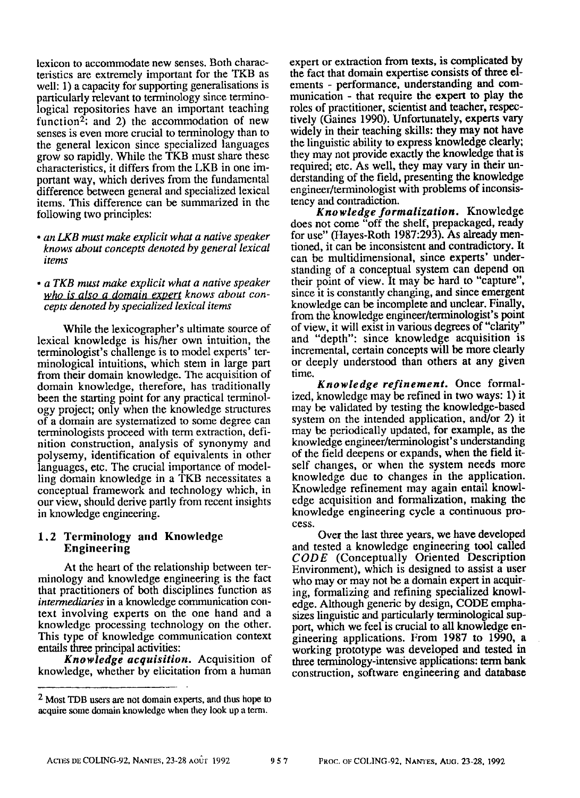lexicon to accommodate new senses. Both characteristics are extremely important for the TKB as well: 1) a capacity for supporting generalisations is particularly relevant to terminology since terminological repositories have an important teaching function<sup>2</sup>; and 2) the accommodation of new senses is even more crucial to terminology than to the general lexicon since specialized languages grow so rapidly. While the TKB must share these characteristics, it differs from the LKB in one important way, which derives from the fundamental difference between general and specialized lexical items. This difference can be summarized in the following two principles:

*• an LKB must make explicit what a native speaker knows about concepts denoted by general lexical items* 

*° a TKB must make explicit what a native speaker who is also a domain expert knows about concepts denoted by specialized lexical items* 

While the lexicographer's ultimate source of lexieal knowledge is his/her own intuition, the terminologist's challenge is to model experts' terminological intuitions, which stem in large part from their domain knowledge. The acquisition of domain knowledge, therefore, has traditionally been the starting point for any practical terminology project; only when the knowledge structures of a domain are systematized to some degree can terminologists proceed with term extraction, definition construction, analysis of synonymy and polysemy, identification of equivalents in other languages, etc. The crucial importance of modelling domain knowledge in a TKB necessitates a conceptual framework and technology which, in our view, should derive partly from recent insights in knowledge engineering.

### **1.2 Terminology and Knowledge Engineering**

At the heart of the relationship between terminology and knowledge engineering is the fact that practitioners of both disciplines function as *intermediaries* in a knowledge communication context involving experts on the one hand and a knowledge processing technology on the other. This type of knowledge communication context entails three principal activities:

*Knowledge acquisition.* Acquisition of knowledge, whether by elicitation from a human expert or extraction from texts, is complicated by the fact that domain expertise consists of three elements - performance, understanding and communication - that require the expert to play the roles of practitioner, scientist and teacher, respectively (Gaines 1990). Unfortunately, experts vary widely in their teaching skills: they may not have the linguistic ability to express knowledge clearly; they may not provide exactly the knowledge that is required; etc. As well, they may vary in their understanding of the field, presenting the knowledge engineer/terminologist with problems of inconsistency and contradiction,

*Knowledge formalization.* Knowledge does not come "off the shelf, prepackaged, ready for use" (Hayes-Roth 1987:293). As already mentioned, it can be inconsistent and contradictory. It can be multidimensional, since experts' understanding of a conceptual system can depend on their point of view. It may be hard to "capture", since it is constantly changing, and since emergent knowledge can be incomplete and unclear. Finally, from the knowledge engineer/terminologist's point of view, it will exist in various degrees of"clarity" and "depth": since knowledge acquisition is incremental, certain concepts will be more clearly or deeply understood than others at any given time.

*Knowledge refinement.* Once formalized, knowledge may be refined in two ways: 1) it may be validated by testing the knowledge-based system on the intended application, and/or 2) it may be periodically updated, for example, as the knowledge engineer/terminologist's understanding of the field deepens or expands, when the field itself changes, or when the system needs more knowledge due to changes in the application. Knowledge refinement may again entail knowledge acquisition and formalization, making the knowledge engineering cycle a continuous process.

Over the last three years, we have developed and tested a knowledge engineering tool called *CODE* (Conceptually Oriented Description Environment), which is designed to assist a user who may or may not be a domain expert in acquiring, formalizing and refining specialized knowledge. Although generic by design, CODE emphasizes linguistic and particularly terminological support, which we feel is crucial to all knowledge engineering applications. From 1987 to 1990, a working prototype was developed and tested in three terminology-intensive applications: term bank construction, software engineering and database

<sup>&</sup>lt;sup>2</sup> Most TDB users are not domain experts, and thus hope to acquire some domain knowledge when they look up a term.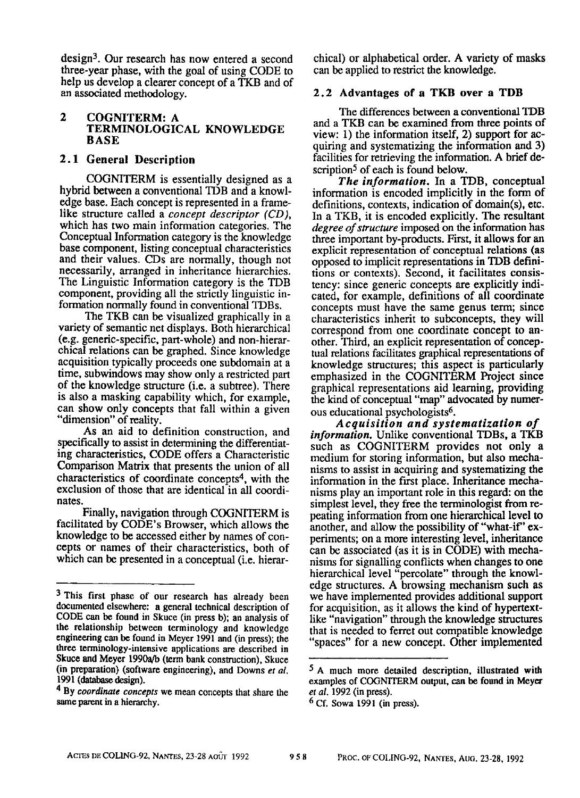$design<sup>3</sup>$ . Our research has now entered a second three-year phase, with the goal of using CODE to help us develop a clearer concept of a TKB and of an associated methodology.

### **2 COGNITERM:** A TERMINOLOGICAL KNOWLEDGE **BASE**

# **2.1 General Description**

COGNITERM is essentially designed as a hybrid between a conventional TDB and a knowledge base. Each concept is represented in a framelike structure called a *concept descriptor (CD),*  which has two main information categories. The Conceptual Information category is the knowledge base component, listing conceptual characteristics and their values. CDs are normally, though not necessarily, arranged in inheritance hierarchies. The Linguistic Information category is the TDB component, providing all the strictly linguistic information normally found in conventional TDBs.

The TKB can be visualized graphically in a variety of semantic net displays. Both hierarchical (e.g. generic-specific, part-whole) and non-hierarchical relations can be graphed. Since knowledge acquisition typically proceeds one subdomain at a time, subwindows may show only a restricted part of the knowledge structure (i.e. a subtree). There is also a masking capability which, for example, can show only concepts that fall within a given "dimension" of reality.

As an aid to definition construction, and specifically to assist in determining the differentiating characteristics, CODE offers a Characteristic Comparison Matrix that presents the union of all characteristics of coordinate concepts<sup>4</sup>, with the exclusion of those that are identical in all coordinates.

Finally, navigation through COGNITERM is facilitated by CODE's Browser, which allows the knowledge to be accessed either by names of concepts or names of their characteristics, both of which can be presented in a conceptual (i.e. hierarchical) or alphabetical order. A variety of masks can be applied to restrict the knowledge.

# 2.2 Advantages of a TKB over a TDB

The differences between a conventional TDB and a TKB can be examined from three points of view: 1) the information itself, 2) support for acquiring and systematizing the information and 3) facilities for retrieving the information. A brief description<sup>5</sup> of each is found below.

*The information.* In a TDB, conceptual information is encoded implicitly in the form of definitions, contexts, indication of domain(s), etc. In a TKB, it is encoded explicitly. The resultant *degree of structure* imposed on the information has three important by-products. First, it allows for an explicit representation of conceptual relations (as opposed to implicit representations in TDB definitions or contexts). Second, it facilitates consistency: since generic concepts are explicitly indicated, for example, definitions of all coordinate concepts must have the same genus term; since characteristics inherit to subeoncepts, they will correspond from one coordinate concept to another. Third, an explicit representation of conceptual relations facilitates graphical representations of knowledge structures; this aspect is particularly emphasized in the COGNITERM Project since graphical representations aid learning, providing the kind of conceptual "map" advocated by numerous educational psychologists<sup>6</sup>.

*Acquisition and systematization of information.* Unlike conventional TDBs, a TKB such as COGNITERM provides not only a medium for storing information, but also mechanisms to assist in acquiring and systematizing the information in the first place. Inheritance mechanisms play an important role in this regard: on the simplest level, they free the terminologist from repeating information from one hierarchical level to another, and allow the possibility of "what-if" experiments; on a more interesting level, inheritance can be associated (as it is in CODE) with mechanisms for signalling conflicts when changes to one hierarchical level "percolate" through the knowledge structures. A browsing mechanism such as we have implemented provides additional support for acquisition, as it allows the kind of hypertextlike "navigation" through the knowledge structures that is needed to ferret out compatible knowledge "spaces" for a new concept. Other implemented

<sup>&</sup>lt;sup>3</sup> This first phase of our research has already been documented elsewhere: a general technical description of CODE can be found in Skuce (in press b); an analysis of the relationship between terminology and knowledge engineering can be found in Meyer 1991 and (in press); the three terminology-intensive applications are described in Skuce **and Meyer** 1990a/b (term bank construction), Skuce **(in** preparation) (software engineering), and Downs *et al.*  1991 (database design).

<sup>4</sup> By *coordinate concepts* we mean concepts that share the same parent in a hierarchy.

<sup>5</sup> A much more detailed description, illustrated with examples of COGNITERM output, can be found in **Meyer**  *et al.* 1992 (in press).

 $6$  Cf. Sowa 1991 (in press).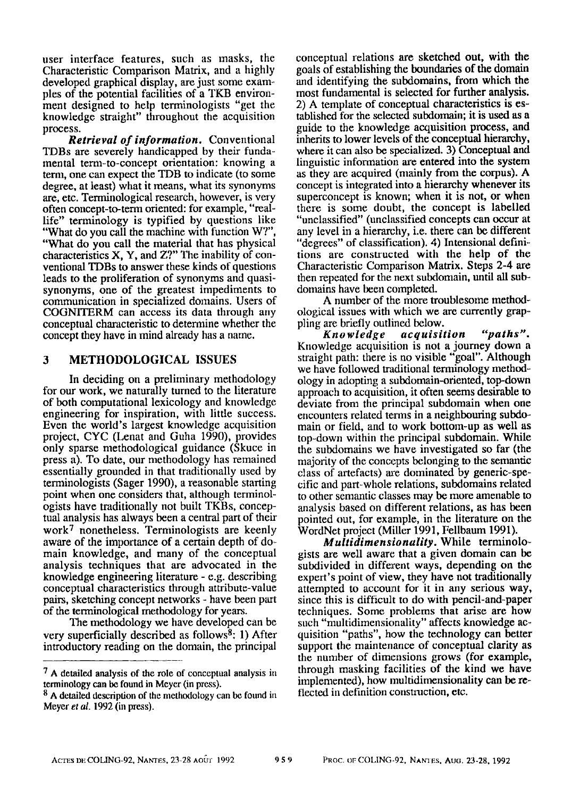user interface features, such as masks, the Characteristic Comparison Matrix, and a highly developed graphical display, are just some exam~ pies of the potential facilities of a TKB environment designed to help terminologists "get the knowledge straight" throughout the acquisition process.

*Retrieval of information.* Conventional TDBs are severely handicapped by their fundamental term-to-concept orientation: knowing a teml, one can expect the TDB to indicate (to some degree, at least) what it means, what its synonyms are, etc. Terminological research, however, is very often concept-to-term oriented: for example, "reallife" terminology is typified by questions like "What do you call the machine with function W?", "What do you call the material that has physical characteristics X, Y, and Z?" The inability of conventional TDBs to answer these kinds of questions leads to the proliferation of synonyms and quasisynonyms, one of the greatest impediments to communication in specialized domains. Users of COGN1TERM can access its data through any conceptual characteristic to determine whether the concept they have in mind already has a name.

# 3 METHODOLOGICAL ISSUES

In deciding on a preliminary methodology for our work, we naturally turned to the literature of both computational lexicology and knowledge engineering for inspiration, with little success. Even the world's largest knowledge acquisition project, CYC (Lenat and Guha 1990), provides only sparse methodological guidance (Skuce in press a). To date, our methodology has remained essentially grounded in that traditionally used by terminologists (Sager 1990), a reasonable starting point when one considers that, although terminologists have traditionally not built TKBs, conceptual analysis has always been a central part of their  $work<sup>7</sup>$  nonetheless. Terminologists are keenly aware of the importance of a certain depth of domain knowledge, and many of the conceptual analysis techniques that are advocated in the knowledge engineering literature - e.g. describing conceptual characteristics through attribute-value pairs, sketching concept networks - have been part of the terminological methodology for years.

The methodology we have developed can be very superficially described as follows8: 1) After introductory reading on the domain, the principal conceptual relations are sketched out, with the goals of establishing the boundaries of the domain and identifying the subdomains, from which the most fundamental is selected for further analysis. 2) A template of conceptual characteristics is established for the selected subdomain; it is used as a guide to the knowledge acquisition process, and inherits to lower levels of the conceptual hierarchy, where it can also be specialized. 3) Conceptual and linguistic information are entered into the system as they are acquired (mainly from the corpus). A concept is integrated into a hierarchy whenever its superconcept is known; when it is not, or when there is some doubt, the concept is labelled "unclassified" (unclassified concepts can occur at any level in a hierarchy, i.e. there can be different "degrees" of classification). 4) Intensional definitions are constructed with the help of the Characteristic Comparison Matrix. Steps 2-4 are then repeated for the next subdomain, until all subdomains have been completed.

A number of the more troublesome methodological issues with which we are currently grappling are briefly outlined below.

*Knowledge acquisition "paths".*  Knowledge acquisition is not a journey down a straight path: there is no visible "goal". Although we have followed traditional terminology methodology in adopting a subdomain-oriented, top-down approach to acquisition, it often seems desirable to deviate from the principal subdomain when one encounters related terms in a neighbouring subdomain or field, and to work bottom-up as well as top-down within the principal subdomain. While the subdomains we have investigated so far (the majority of the concepts belonging to the semantic class of artefacts) are dominated by generic-specific and part-whole relations, subdomains related to other semantic classes may be more amenable to analysis based on different relations, as has been pointed out, for example, in the literature on the WordNet project (Miller 1991, Fellbaum 1991).

*Multidimensionality.* While terminologists are well aware that a given domain can be subdivided in different ways, depending on the expert's point of view, they have not traditionally attempted to account for it in any serious way, since this is difficult to do with pencil-and-paper techniques. Some problems that arise are how such "multidimensionality" affects knowledge acquisition "paths", how the technology can better support the maintenance of conceptual clarity as the number of dimensions grows (for example, through masking facilities of the kind we have implemented), how multidimensionality can be reflected in definition construction, etc.

<sup>7</sup> A detailed analysis of the role of conceptual analysis in terminology can be found in Meyer (in press).

<sup>8</sup> A detailed description of the methodology can be found in Meyer *et al.* 1992 (in press).